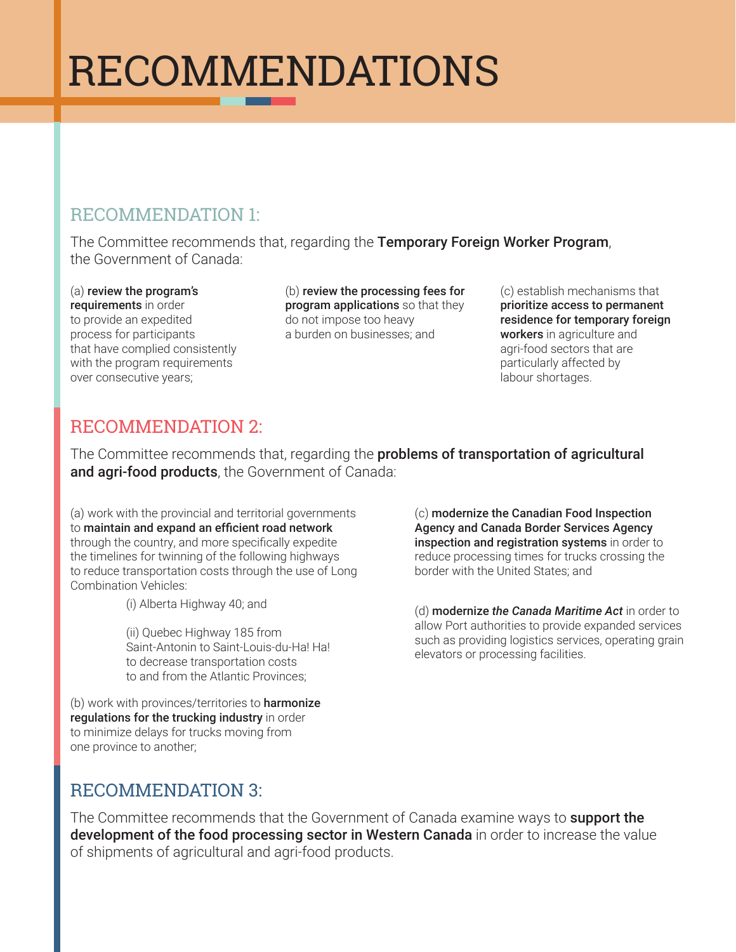# RECOMMENDATIONS

## RECOMMENDATION 1:

The Committee recommends that, regarding the Temporary Foreign Worker Program, the Government of Canada:

(a) review the program's requirements in order to provide an expedited process for participants that have complied consistently with the program requirements over consecutive years;

(b) review the processing fees for program applications so that they do not impose too heavy a burden on businesses; and

(c) establish mechanisms that prioritize access to permanent residence for temporary foreign workers in agriculture and agri-food sectors that are particularly affected by labour shortages.

## RECOMMENDATION 2:

The Committee recommends that, regarding the **problems of transportation of agricultural** and agri-food products, the Government of Canada:

(a) work with the provincial and territorial governments to maintain and expand an efficient road network through the country, and more specifically expedite the timelines for twinning of the following highways to reduce transportation costs through the use of Long Combination Vehicles:

(i) Alberta Highway 40; and

(ii) Quebec Highway 185 from Saint-Antonin to Saint-Louis-du-Ha! Ha! to decrease transportation costs to and from the Atlantic Provinces;

(b) work with provinces/territories to **harmonize** regulations for the trucking industry in order to minimize delays for trucks moving from one province to another;

(c) modernize the Canadian Food Inspection Agency and Canada Border Services Agency inspection and registration systems in order to reduce processing times for trucks crossing the border with the United States; and

(d) modernize *the Canada Maritime Act* in order to allow Port authorities to provide expanded services such as providing logistics services, operating grain elevators or processing facilities.

## RECOMMENDATION 3:

The Committee recommends that the Government of Canada examine ways to support the development of the food processing sector in Western Canada in order to increase the value of shipments of agricultural and agri-food products.